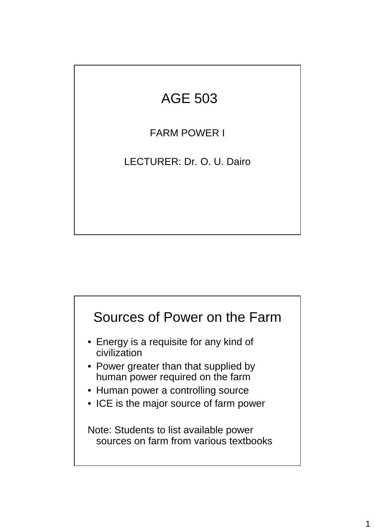# AGE 503

FARM POWER I

LECTURER: Dr. O. U. Dairo

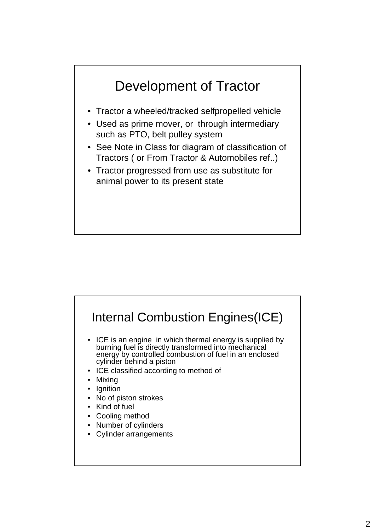

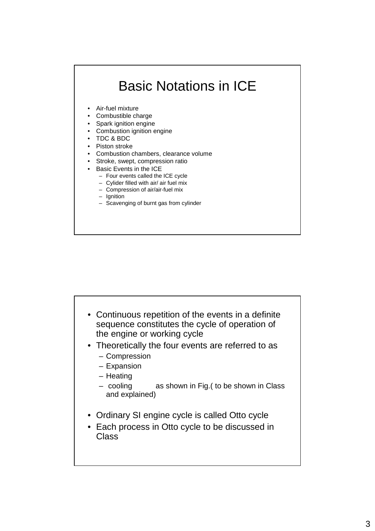# Basic Notations in ICE

- Air-fuel mixture
- Combustible charge
- Spark ignition engine
- Combustion ignition engine
- TDC & BDC
- Piston stroke
- Combustion chambers, clearance volume
- Stroke, swept, compression ratio
- Basic Events in the ICE
	- Four events called the ICE cycle
	- Cylider filled with air/ air fuel mix
	- Compression of air/air-fuel mix – Ignition
	- Scavenging of burnt gas from cylinder

- Continuous repetition of the events in a definite sequence constitutes the cycle of operation of the engine or working cycle
- Theoretically the four events are referred to as
	- Compression
	- Expansion
	- Heating
	- cooling as shown in Fig.( to be shown in Class and explained)
- Ordinary SI engine cycle is called Otto cycle
- Each process in Otto cycle to be discussed in Class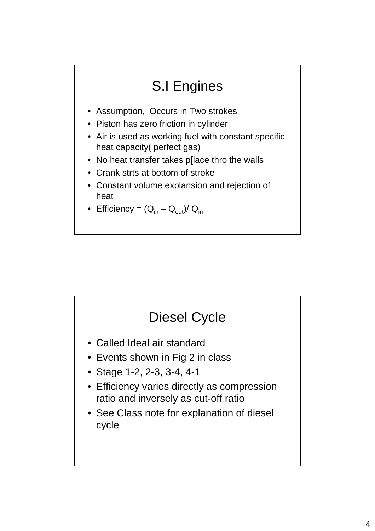# S.I Engines

- Assumption, Occurs in Two strokes
- Piston has zero friction in cylinder
- Air is used as working fuel with constant specific heat capacity( perfect gas)
- No heat transfer takes p[lace thro the walls
- Crank strts at bottom of stroke
- Constant volume explansion and rejection of heat
- Efficiency =  $(Q_{in} Q_{out})/ Q_{in}$

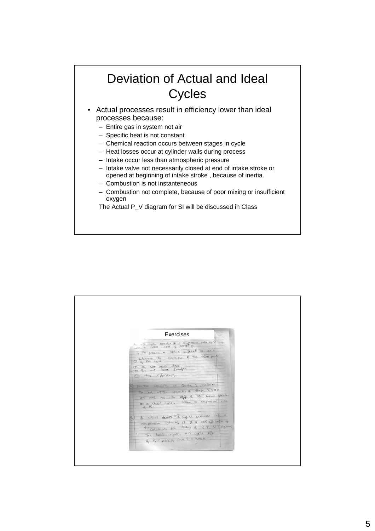### Deviation of Actual and Ideal **Cycles**

- Actual processes result in efficiency lower than ideal processes because:
	- Entire gas in system not air
	- Specific heat is not constant
	- Chemical reaction occurs between stages in cycle
	- Heat losses occur at cylinder walls during process
	- Intake occur less than atmospheric pressure
	- Intake valve not necessarily closed at end of intake stroke or opened at beginning of intake stroke , because of inertia.
	- Combustion is not instanteneous
	- Combustion not complete, because of poor mixing or insufficient oxygen

The Actual P V diagram for SI will be discussed in Class

|   | Exercises                                                                                | Danislande<br>Territori |
|---|------------------------------------------------------------------------------------------|-------------------------|
|   | In othe cycle operates @ or compression value of 8                                       |                         |
|   | If the pressive e state 1 is 200kfs @ 360 k                                              |                         |
|   | Orterma the country of the aftern points                                                 |                         |
|   | o the not work done<br>(3) the not heat transferr                                        |                         |
|   | 4 the officiency.                                                                        |                         |
|   | For the condition in Question 1, detaining                                               |                         |
|   | the let work, cruditing @ stage 2,384                                                    |                         |
|   | as nell as the effect the sugme operates<br>on a diesd cycle. assume a compression ratio |                         |
|   | 0616.                                                                                    |                         |
| B | In ideal didn't CI cycle operates with a                                                 |                         |
|   | compression water of 18 \$ 9 cut off note of                                             |                         |
|   | 4) calculate for Value of P, T, V (Kg bar)<br>The heat input, and cycle offer            |                         |
|   | $4$ R = 100kpg and T1 = 300k                                                             |                         |
|   |                                                                                          |                         |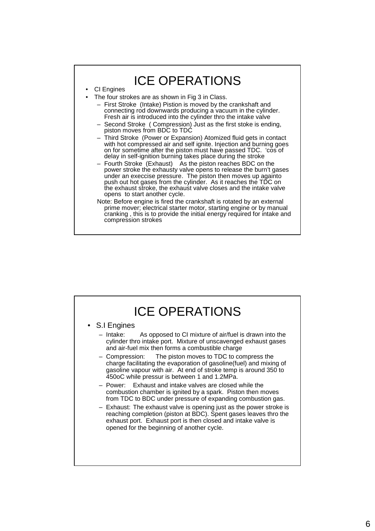#### ICE OPERATIONS **CI** Engines The four strokes are as shown in Fig 3 in Class. – First Stroke (Intake) Pistion is moved by the crankshaft and connecting rod downwards producing a vacuum in the cylinder. Fresh air is introduced into the cylinder thro the intake valve – Second Stroke ( Compression) Just as the first stoke is ending, piston moves from BDC to TDC – Third Stroke (Power or Expansion) Atomized fluid gets in contact with hot compressed air and self ignite. Injection and burning goes on for sometime after the piston must have passed TDC. 'cos of delay in self-ignition burning takes place during the stroke – Fourth Stroke (Exhaust) As the piston reaches BDC on the power stroke the exhausty valve opens to release the burn't gases under an execcise pressure. The piston then moves up againto push out hot gases from the cylinder. As it reaches the TDC on the exhaust stroke, the exhaust valve closes and the intake valve opens to start another cycle. Note: Before engine is fired the crankshaft is rotated by an external prime mover; electrical starter motor, starting engine or by manual cranking , this is to provide the initial energy required for intake and compression strokes

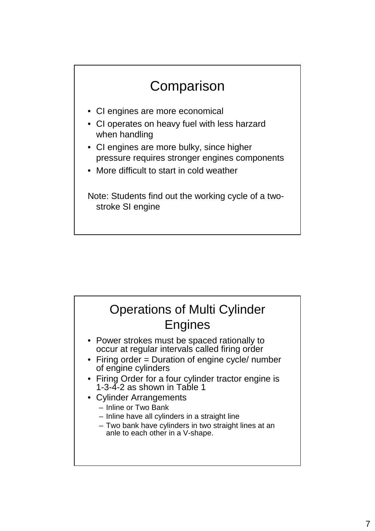# **Comparison**

- CI engines are more economical
- CI operates on heavy fuel with less harzard when handling
- CI engines are more bulky, since higher pressure requires stronger engines components
- More difficult to start in cold weather

Note: Students find out the working cycle of a twostroke SI engine

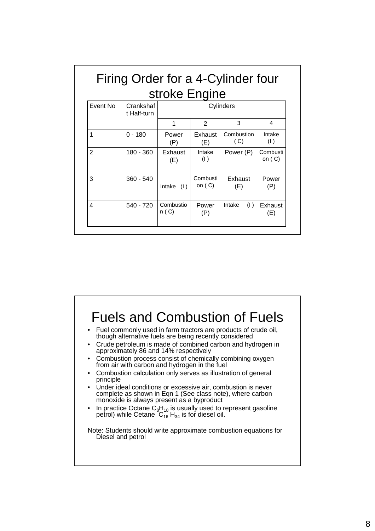|                |                          | stroke Engine     |                      |                   |                      |
|----------------|--------------------------|-------------------|----------------------|-------------------|----------------------|
| Event No       | Crankshaf<br>t Half-turn |                   |                      | Cylinders         |                      |
|                |                          |                   | $\overline{2}$       | 3                 | 4                    |
| 1              | $0 - 180$                | Power<br>(P)      | Exhaust<br>(E)       | Combustion<br>(C) | Intake<br>(1)        |
| $\overline{2}$ | 180 - 360                | Exhaust<br>(E)    | Intake<br>(1)        | Power (P)         | Combusti<br>on $(C)$ |
| 3              | $360 - 540$              | Intake<br>(1)     | Combusti<br>on $(C)$ | Exhaust<br>(E)    | Power<br>(P)         |
| 4              | 540 - 720                | Combustio<br>n(C) | Power<br>(P)         | (1)<br>Intake     | Exhaust<br>(E)       |

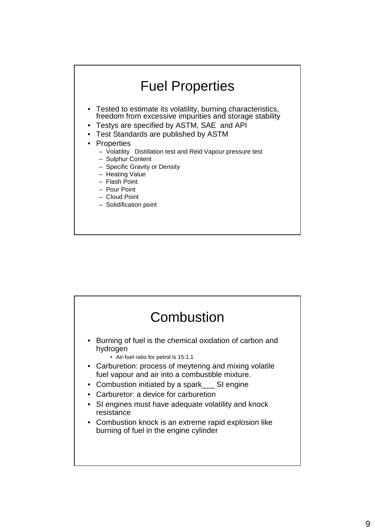

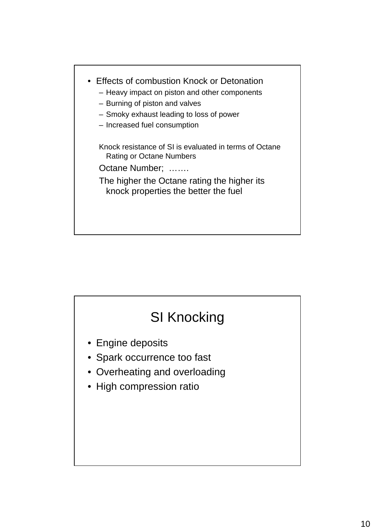

# SI Knocking

- Engine deposits
- Spark occurrence too fast
- Overheating and overloading
- High compression ratio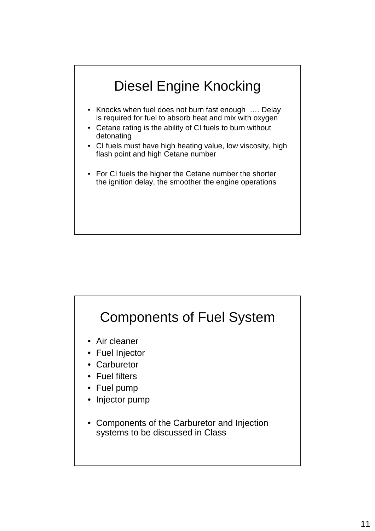

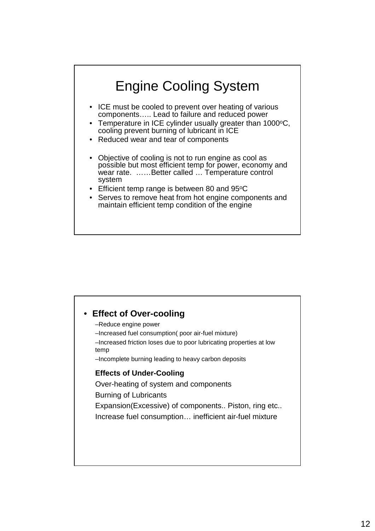

| • Effect of Over-cooling<br>-Reduce engine power<br>-Increased fuel consumption (poor air-fuel mixture)<br>-Increased friction loses due to poor lubricating properties at low<br>temp<br>-Incomplete burning leading to heavy carbon deposits |
|------------------------------------------------------------------------------------------------------------------------------------------------------------------------------------------------------------------------------------------------|
| <b>Effects of Under-Cooling</b><br>Over-heating of system and components<br><b>Burning of Lubricants</b><br>Expansion (Excessive) of components Piston, ring etc<br>Increase fuel consumption inefficient air-fuel mixture                     |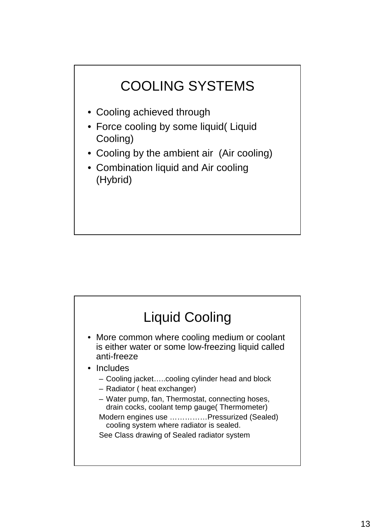

- Cooling achieved through
- Force cooling by some liquid( Liquid Cooling)
- Cooling by the ambient air (Air cooling)
- Combination liquid and Air cooling (Hybrid)

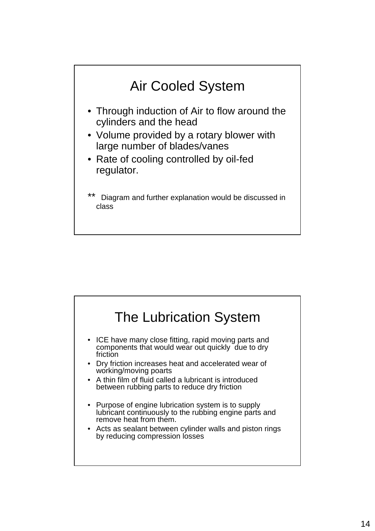

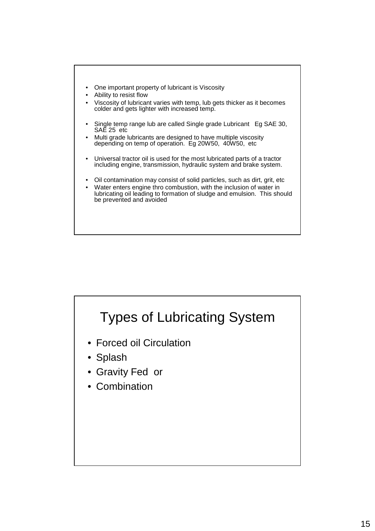

- Ability to resist flow
- Viscosity of lubricant varies with temp, lub gets thicker as it becomes colder and gets lighter with increased temp.
- Single temp range lub are called Single grade Lubricant Eg SAE 30, SAE 25 etc
- Multi grade lubricants are designed to have multiple viscosity depending on temp of operation. Eg 20W50, 40W50, etc
- Universal tractor oil is used for the most lubricated parts of a tractor including engine, transmission, hydraulic system and brake system.
- Oil contamination may consist of solid particles, such as dirt, grit, etc
- Water enters engine thro combustion, with the inclusion of water in lubricating oil leading to formation of sludge and emulsion. This should be prevented and avoided

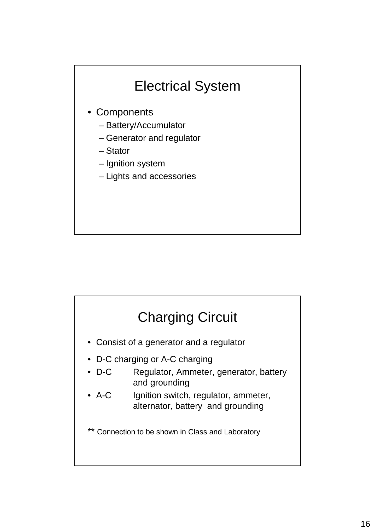

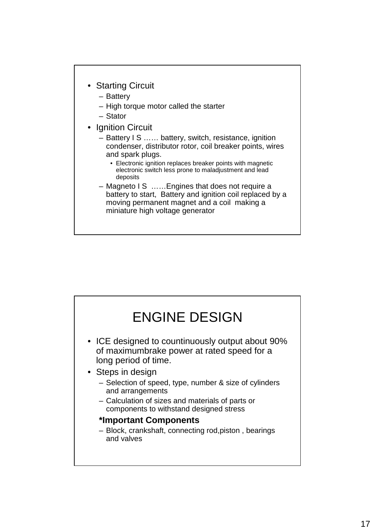